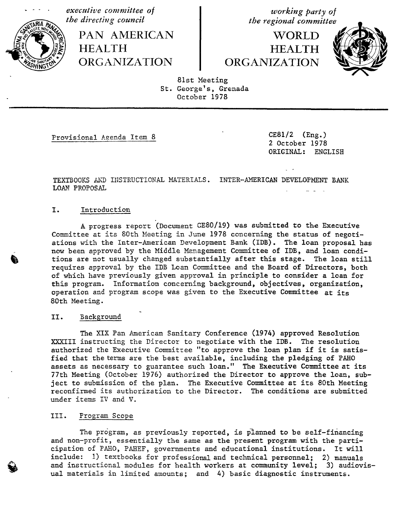executive committee of the directing council<br>  $\begin{array}{ccc}\n\text{the direction} & \text{to} & \text{the regional committee}\n\end{array}$ 

PAN AMERICAN **HEALTH** 

**WORLD HEALTH** thedirectingc°uncil PAN HEALTHAMERICAN **theregi°nalc°mmitte** HEALTH WORLD ,kl**/** ORGANIZATION ORGANIZATION



81st Meeting St. George's, Grenada October 1978

Provisional Agenda Item 8 CE81/2 (Eng.)

2 October 1978 ORIGINAL: ENGLISH

TEXTBOOKS AND INSTRUCTIONAL MATERIALS. INTER-AMERICAN DEVELOPMENT BANK LOAN PROPOSAL

# I. Introduction

A progress report '(Document GES0**/**I9) was submitted to the Execu**t**ive Committee at its 80th Meeting in June 1978 concerning the status of negotiations with the Inter-American Development Bank (IDB). The loan proposal has now been approved by the Middle Management Committee of IDB, and loan conditions are not usually changed substantially after this stage. The loan still requires approval by the IDB Loan Committee and the Board of Direc**t**ors, both of which have previously given approval in principle to consider a loan for this program. Information concerning background, objectives, organization, operation and program scope was given to the Executive Committee at its 80th Meeting.

### II. Background

The XIX Pan American Sanitary Conference (1974) approved Resolu**t**ion XXXIII instructing the Director to negotiate with the IDB. The resolution authorized the Executive Commitzee "to approve the loan pla**n** if it is satisfied that the terms are the bes**t** available, including the pledging of PAHO assets as necessary to guarantee such loan." The Executive Committee at its 77th Meeting (October 1976) authorized the Director to approve the loan, subject to submission of the plan. The Executive Commit**t**ee at its 80th Meeting reconfirmed its authorization to the Director. The conditions are submitted under items IV and V.

## III. Program Scope

The program, as previously reported, is planned to be self-financing and non-profit, essentially the same as the present program with the participation of PAHO, PAHEF, governments and educational ins**t**itutions. It will include: 1) textbooks for professional and technical personnel; 2) manuals<br>and instructional modules for health workers at community level; 3) audiovisval materials in limited amounts; and 4) basic diagnostic instruments.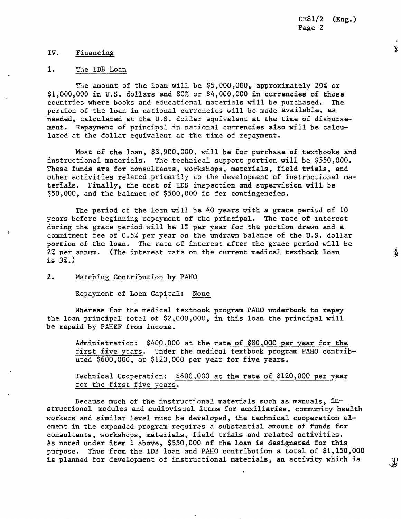CE8I**/**2 (Eng.) Page 2

Y

摹

## IV. Financing

### 1. The IDB Loan

The amoun**t** of **t**he loan will be \$**5**,000,000, approxi**m**a**t**ely 20% or \$1,000,000 in U.S. dollars and 80% or \$4,000,000 in currencies of **t**hose countries where books and educa**t**ional **m**a**t**erials will be purchased. The portion of the loan in national currencies will be made availa**b**le, as \_needed, calcula**t**ed at the U**.**S. dollar equivalen**t** at the **t**i**m**e of disbursemen**t**. Repaymen**t** of pri**n**cipal in na:ional currencies also will be calcula**t**ed a**t** the dollar equivalent a**t t**he **t**ime of repaymen**t**.

Most of **t**he loan, \$3,900,000, will **h**e for purchase of tex**t**books and ins**t**ructional ma**t**erials. The technical suppor**t** por**t**ion will be \$5**5**0,000. These funds are for consul**t**ants, workshops, ma**t**erials, field trials, and o**t**her ac**t**ivi**t**ies rela**t**ed primarily to the developmen**t** of ins**t**ruc**t**ional ma**t**erials. Finally, **t**he cos**t** of IDB inspec**t**ion and supervision will be \$50,000, and **t**he balance of \$500,000 is for con**t**ingencies.

The period of **t**he loan will be 40 years wi**t**h a grace period of 10 years before beginning repaymen**t** of **t**he principal. The rate of in**t**eres**t** during the grace period will be 1% per year for **t**he por**t**ion drawn and a commitment fee of 0.5% per year on the undrawn balance of the U.S. dollar portion of the loan. The rate of in**t**eres**t** af**t**er the grace period will be 2% Der annum. (The interest rate on the current medical **t**extbook l**o**an is 3%.)

# 2. Ma**tchin\_ Contribution by PAHO**

Repayment of Loan Capital: None

Whereas for the medical **t**extbook program PAHO under**t**ook **t**o repay the loan principal total of \$2,000,000, in this loan the principal will be repaid by PAHEF from income.

Adminis**t**ration: \$400,000 at **the rate of \$80,000 per year for the first five years**. Under the medical textbook program PAHO contributed \$600,000, or \$120,000 per year for five years.

Technical Cooperation: \$600,000 at the rate of \$120,000 per year for **the first five years.**

Because much of the instructional materials such as manuals, instructional modules and audiovisual items for auxiliaries, community health workers and similar level must be developed, the **t**echnical cooperation element in the expanded program requires a substan**t**ial amount of funds for consultants, workshops, ma**t**erials, field **t**rials and related activities. As noted under item 1 above, \$550,000 of the loan is designated for this purpose. Thus from the IDB loan and PAHO con**t**ribution a total of \$1,150,000

is planned for developmen**t** of instruc**t**ional materials, an activity which is \_1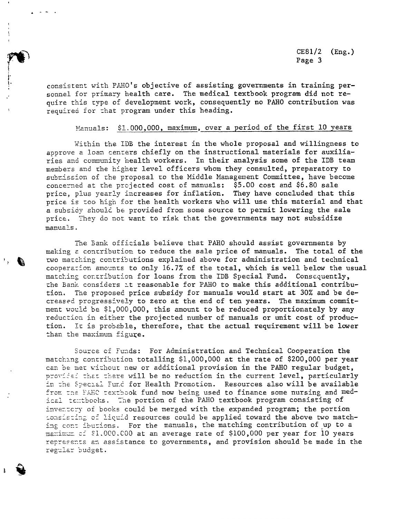CE81**/**2 (Eng.)  $P =$  Page 3

> consistent with PAHO's objective of assisting governments in training personnel for primary health care. The medical textbook program did not require this Type of developmen**t** work, consequen**t**ly no PAHO contribu**t**ion was required for that program under this heading.

<sup>t</sup>'

### Manuals: \$1.000,000, maximum, over a period of the first 10 years

Within the IDB the interest in the whole proposal and willingness to approve a loan centers chiefly on the instructional materials for auxiliaries and community health workers. In their analysis some of the IDB team members and the higher level officers whom they consulted, preparatory to submission of the proposal to the Middle Management Committee, have become concerned at the projected cost of manuals: \$5.00 cost and \$6.80 sale price, plus yearly increases for inflation. They have concluded that this price is zoo high for the health workers who will use this ma**t**erial and that a subsidy should be provided from some source to permit lowering the sale price. They do not want to risk that the governments may not subsidize manuals.

The Bank officials believe that PAHO should assist governments by making a contribution to reduce the sale price of manuals. The total of the<br>two matching contributions explained above for administration and technical  $\frac{1}{2}$  contributions explained above for administrations explained above for administration and technical contribution and the second  $\mathop{\mathtt{cooperation}}$  amounts to only 16.7% of the total, which is well below the usual matching contribution for loans from the IDB Special Fund. Consequently, the Bank considers at reasonable for PAHO to make this additional contribution. The proposed price subsidy for manuals would start at 30% and be decreased progressively to zero at the end of ten years. The maximum commitment would be  $$1,000,000$ , this amount to be reduced proportionately by any reduction in either the projected number of manuals or unit cost of production. In is probable, therefore, that the actual requiremen**t** will be lower than the maximum figure.

> Source of Funds: For Administration and Technical Cooperation the matching contribution totalling \$1,000,000 at the rate of \$200,000 per year can be met without new or additional provision in the PAHO regular budget, provided that there will be no reduction in the current level, particularly in the Special Fund for Health Promotion. Resources also will be available from the FAHC textbook fund now being used to finance some nursing and medical te::tbooks. The portion of the PAHO textbook program consisting of inventery of books could be merged with the expanded program; the portion \_onsis\_in\_ of \_\_\_e"\_d\_\_resources could be applied toward the above two matching cont ibutions. For the manuals, the matching contribution of up to a manimum cf SI.000.C00 at an average rate of \$100,000 per year for 10 years represents an assistance to governments, and provision should be made in the regular budget.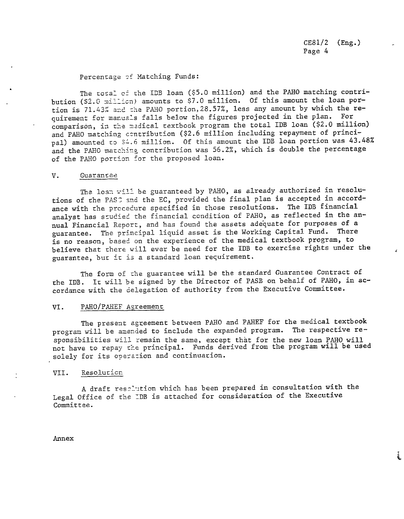CE81**/**2 (Eng.) Page 4

į.

### Percentage of Matching Funds:

The toral of the IDB loan (\$5.0 million) and the PAHO matching contribution (S2.0 million} amounts to \$7.0 million. Of this amount the loan portion is 71.43% and the PAHO portion, 28.57%, less any amount by which the re-<br>quirement for manuals falls below the figures projected in the plan. For quirement for manus\_s falls below the figures projected in the plan. For comparison, in the madical textbook program the total IDB loan (\$2.0 million and PAHO matching contribution (\$2.6 million including repayment of principal) amounted to  $34.6$  million. Of this amount the IDB loan portion was 43.48% and the PAHO matching contribution was 56.2%, which is double the percentage of the PAHO portion for the proposed loan.

### V. Guarantee

The loan will be guaranteed by PAHO, as already authorized in resolutions of the PASC and the EC, provided the final plan is accepted in accordance with the procedure specified in those resolutions. The IDB financial analyst has studied the financial condition of PAHO, as reflected in the annual Financial Report, and has found the assets adequate for purposes of a guarantee. The principal liquid asset is the Working Capital Fund. There is no reason, based on the experience of the medical textbook program, to believe that there will ever be need for the IDB to exercise rights under the guarantee, but it is a standard loan requirement.

The form of the guarantee will be the standard Guarantee Contract of the iDB. It will be signed by the Director of PASB on behalf of PAHO, in accordance with the delegation of authority from the Executive Committee.

#### VI. PAHO/PAHEF Agreement

The present agreement between PAHO and PAHEF for the medical textbook program will be amended to include the expanded program. The respective responsibilities will remain the same, except that for the new loan PAHO will not have to repay the principal. Funds derived from the program will be used solely for its operazion and continuation.

### VII. Resolution

A draft resplution which has been prepared in consultation with the Legal Office of the IDB is attached for consideration of the Executive Committee.

Annex